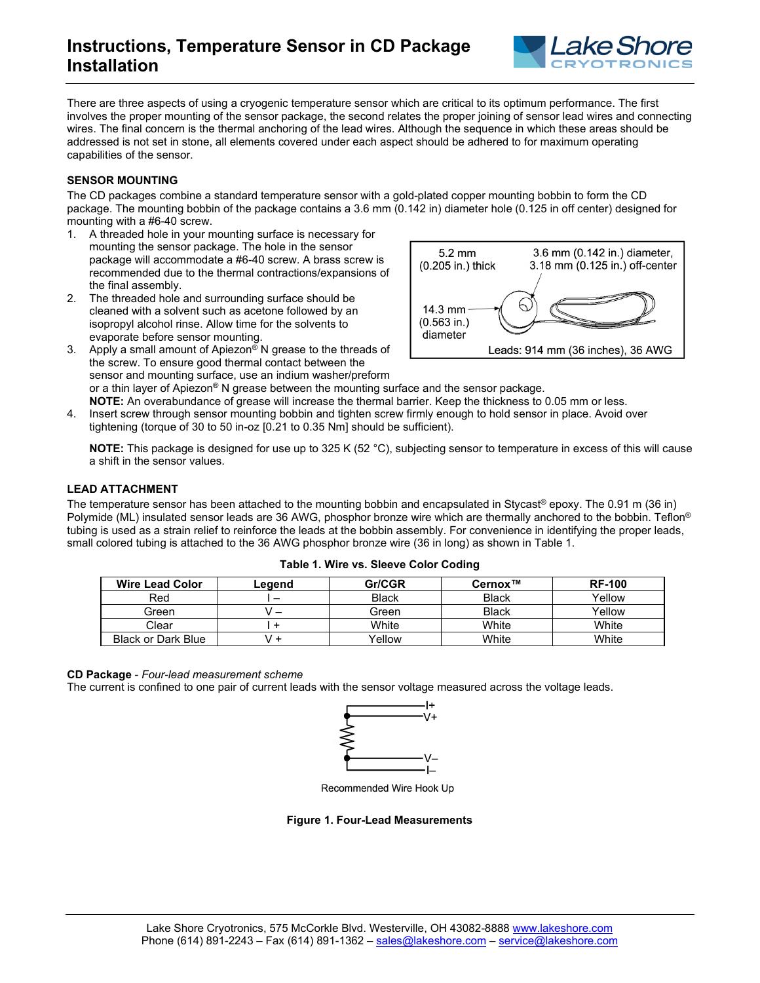

There are three aspects of using a cryogenic temperature sensor which are critical to its optimum performance. The first involves the proper mounting of the sensor package, the second relates the proper joining of sensor lead wires and connecting wires. The final concern is the thermal anchoring of the lead wires. Although the sequence in which these areas should be addressed is not set in stone, all elements covered under each aspect should be adhered to for maximum operating capabilities of the sensor.

# **SENSOR MOUNTING**

The CD packages combine a standard temperature sensor with a gold-plated copper mounting bobbin to form the CD package. The mounting bobbin of the package contains a 3.6 mm (0.142 in) diameter hole (0.125 in off center) designed for mounting with a #6-40 screw.

- 1. A threaded hole in your mounting surface is necessary for mounting the sensor package. The hole in the sensor package will accommodate a #6-40 screw. A brass screw is recommended due to the thermal contractions/expansions of the final assembly.
- 2. The threaded hole and surrounding surface should be cleaned with a solvent such as acetone followed by an isopropyl alcohol rinse. Allow time for the solvents to evaporate before sensor mounting.



- 3. Apply a small amount of Apiezon® N grease to the threads of the screw. To ensure good thermal contact between the sensor and mounting surface, use an indium washer/preform
	- or a thin layer of Apiezon® N grease between the mounting surface and the sensor package.
- **NOTE:** An overabundance of grease will increase the thermal barrier. Keep the thickness to 0.05 mm or less. 4. Insert screw through sensor mounting bobbin and tighten screw firmly enough to hold sensor in place. Avoid over tightening (torque of 30 to 50 in-oz [0.21 to 0.35 Nm] should be sufficient).

**NOTE:** This package is designed for use up to 325 K (52 °C), subjecting sensor to temperature in excess of this will cause a shift in the sensor values.

## **LEAD ATTACHMENT**

The temperature sensor has been attached to the mounting bobbin and encapsulated in Stycast® epoxy. The 0.91 m (36 in) Polymide (ML) insulated sensor leads are 36 AWG, phosphor bronze wire which are thermally anchored to the bobbin. Teflon<sup>®</sup> tubing is used as a strain relief to reinforce the leads at the bobbin assembly. For convenience in identifying the proper leads, small colored tubing is attached to the 36 AWG phosphor bronze wire (36 in long) as shown in Table 1.

| <b>Wire Lead Color</b> | Legend | Gr/CGR       | $Cernox^{\tau M}$ | <b>RF-100</b> |
|------------------------|--------|--------------|-------------------|---------------|
| Red                    |        | <b>Black</b> | <b>Black</b>      | Yellow        |
| Green                  |        | Green        | <b>Black</b>      | Yellow        |
| Clear                  |        | White        | White             | White         |
| Black or Dark Blue     |        | Yellow       | White             | White         |

**Table 1. Wire vs. Sleeve Color Coding**

#### **CD Package** - *Four-lead measurement scheme*

The current is confined to one pair of current leads with the sensor voltage measured across the voltage leads.



Recommended Wire Hook Up

### **Figure 1. Four-Lead Measurements**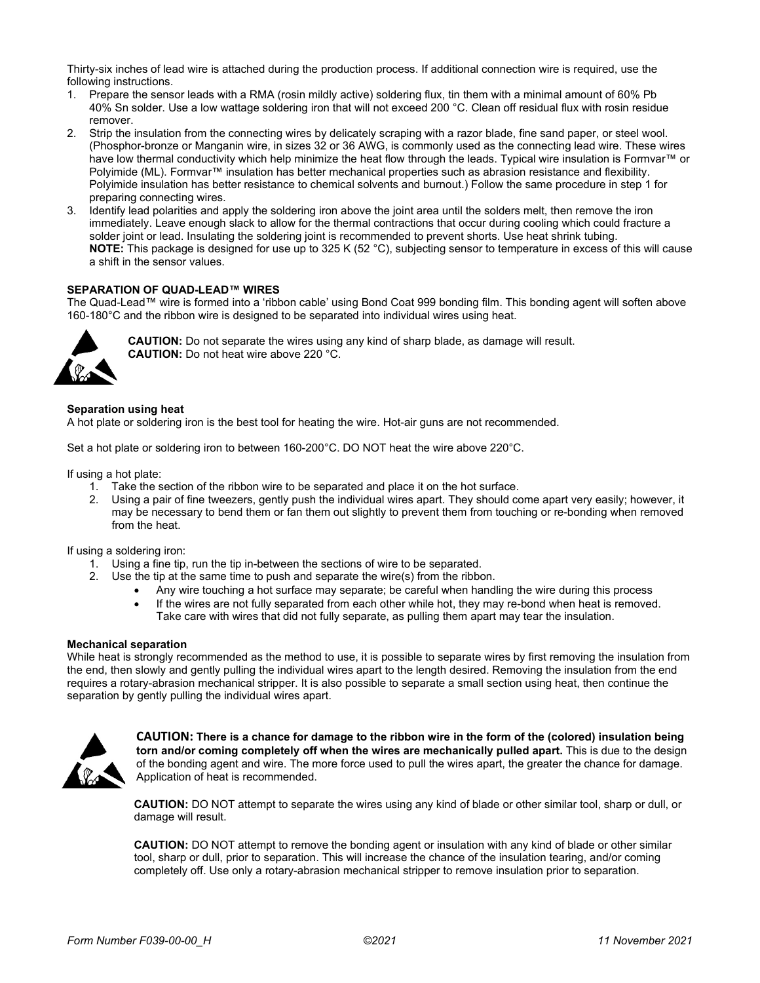Thirty-six inches of lead wire is attached during the production process. If additional connection wire is required, use the following instructions.

- 1. Prepare the sensor leads with a RMA (rosin mildly active) soldering flux, tin them with a minimal amount of 60% Pb 40% Sn solder. Use a low wattage soldering iron that will not exceed 200 °C. Clean off residual flux with rosin residue remover.
- 2. Strip the insulation from the connecting wires by delicately scraping with a razor blade, fine sand paper, or steel wool. (Phosphor-bronze or Manganin wire, in sizes 32 or 36 AWG, is commonly used as the connecting lead wire. These wires have low thermal conductivity which help minimize the heat flow through the leads. Typical wire insulation is Formvar™ or Polyimide (ML). Formvar™ insulation has better mechanical properties such as abrasion resistance and flexibility. Polyimide insulation has better resistance to chemical solvents and burnout.) Follow the same procedure in step 1 for preparing connecting wires.
- 3. Identify lead polarities and apply the soldering iron above the joint area until the solders melt, then remove the iron immediately. Leave enough slack to allow for the thermal contractions that occur during cooling which could fracture a solder joint or lead. Insulating the soldering joint is recommended to prevent shorts. Use heat shrink tubing. **NOTE:** This package is designed for use up to 325 K (52 °C), subjecting sensor to temperature in excess of this will cause a shift in the sensor values.

### **SEPARATION OF QUAD-LEAD™ WIRES**

The Quad-Lead™ wire is formed into a 'ribbon cable' using Bond Coat 999 bonding film. This bonding agent will soften above 160-180°C and the ribbon wire is designed to be separated into individual wires using heat.



**CAUTION:** Do not separate the wires using any kind of sharp blade, as damage will result. **CAUTION:** Do not heat wire above 220 °C.

#### **Separation using heat**

A hot plate or soldering iron is the best tool for heating the wire. Hot-air guns are not recommended.

Set a hot plate or soldering iron to between 160-200°C. DO NOT heat the wire above 220°C.

If using a hot plate:

- 1. Take the section of the ribbon wire to be separated and place it on the hot surface.
- 2. Using a pair of fine tweezers, gently push the individual wires apart. They should come apart very easily; however, it may be necessary to bend them or fan them out slightly to prevent them from touching or re-bonding when removed from the heat.

If using a soldering iron:

- 1. Using a fine tip, run the tip in-between the sections of wire to be separated.
- 2. Use the tip at the same time to push and separate the wire(s) from the ribbon.
	- Any wire touching a hot surface may separate; be careful when handling the wire during this process
	- If the wires are not fully separated from each other while hot, they may re-bond when heat is removed. Take care with wires that did not fully separate, as pulling them apart may tear the insulation.

#### **Mechanical separation**

While heat is strongly recommended as the method to use, it is possible to separate wires by first removing the insulation from the end, then slowly and gently pulling the individual wires apart to the length desired. Removing the insulation from the end requires a rotary-abrasion mechanical stripper. It is also possible to separate a small section using heat, then continue the separation by gently pulling the individual wires apart.



**CAUTION: There is a chance for damage to the ribbon wire in the form of the (colored) insulation being torn and/or coming completely off when the wires are mechanically pulled apart.** This is due to the design of the bonding agent and wire. The more force used to pull the wires apart, the greater the chance for damage. Application of heat is recommended.

**CAUTION:** DO NOT attempt to separate the wires using any kind of blade or other similar tool, sharp or dull, or damage will result.

**CAUTION:** DO NOT attempt to remove the bonding agent or insulation with any kind of blade or other similar tool, sharp or dull, prior to separation. This will increase the chance of the insulation tearing, and/or coming completely off. Use only a rotary-abrasion mechanical stripper to remove insulation prior to separation.